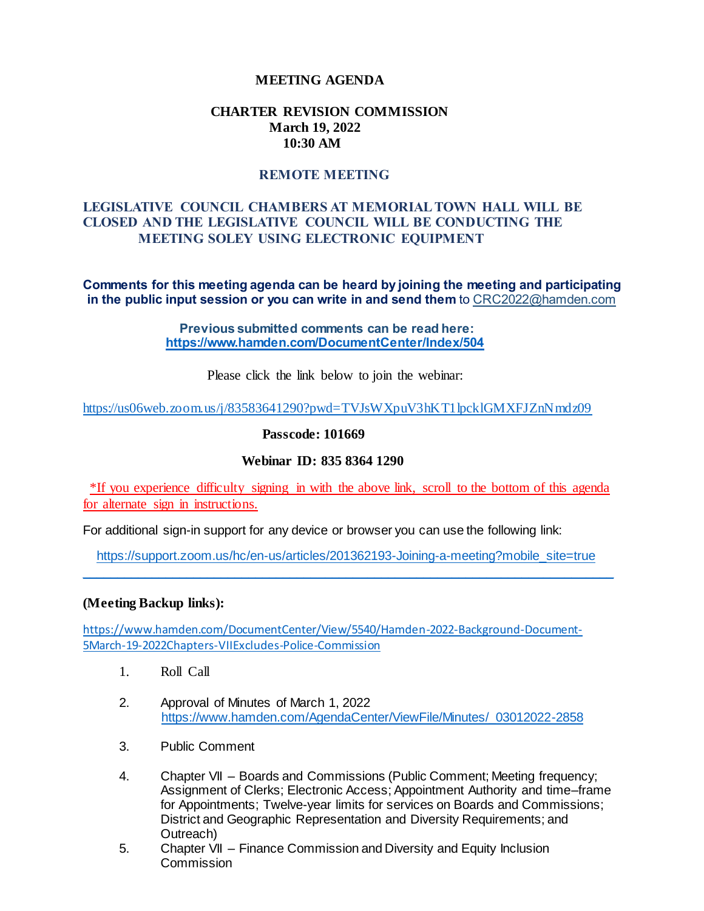## **MEETING AGENDA**

#### **CHARTER REVISION COMMISSION March 19, 2022 10:30 AM**

# **REMOTE MEETING**

## **LEGISLATIVE COUNCIL CHAMBERS AT MEMORIAL TOWN HALL WILL BE CLOSED AND THE LEGISLATIVE COUNCIL WILL BE CONDUCTING THE MEETING SOLEY USING ELECTRONIC EQUIPMENT**

**Comments for this meeting agenda can be heard by joining the meeting and participating in the public input session or you can write in and send them** to CRC2022@hamden.com

> **Previous submitted comments can be read here: <https://www.hamden.com/DocumentCenter/Index/504>**

> > Please click the link below to join the webinar:

<https://us06web.zoom.us/j/83583641290?pwd=TVJsWXpuV3hKT1lpcklGMXFJZnNmdz09>

**Passcode: 101669**

#### **Webinar ID: 835 8364 1290**

\*If you experience difficulty signing in with the above link, scroll to the bottom of this agenda for alternate sign in instructions.

For additional sign-in support for any device or browser you can use the following link:

 [https://support.zoom.us/hc/en-us/articles/201362193-Joining-a-meeting?mobile\\_site=true](https://support.zoom.us/hc/en-us/articles/201362193-Joining-a-meeting?mobile_site=true) \_\_\_\_\_\_\_\_\_\_\_\_\_\_\_\_\_\_\_\_\_\_\_\_\_\_\_\_\_\_\_\_\_\_\_\_\_\_\_\_\_\_\_\_\_\_\_\_\_\_\_\_\_\_\_\_\_\_\_\_\_\_\_\_\_\_\_\_\_\_\_\_\_\_\_\_

#### **(Meeting Backup links):**

[https://www.hamden.com/DocumentCenter/View/5540/Hamden-2022-Background-Document-](https://www.hamden.com/DocumentCenter/View/5540/Hamden-2022-Background-Document-5March-19-2022Chapters-VIIExcludes-Police-Commission)[5March-19-2022Chapters-VIIExcludes-Police-Commission](https://www.hamden.com/DocumentCenter/View/5540/Hamden-2022-Background-Document-5March-19-2022Chapters-VIIExcludes-Police-Commission)

- 1. Roll Call
- 2. Approval of Minutes of March 1, 2022 [https://www.hamden.com/AgendaCenter/ViewFile/Minutes/\\_03012022-2858](https://www.hamden.com/AgendaCenter/ViewFile/Minutes/_03012022-2858)
- 3. Public Comment
- 4. Chapter VII Boards and Commissions (Public Comment; Meeting frequency; Assignment of Clerks; Electronic Access; Appointment Authority and time–frame for Appointments; Twelve-year limits for services on Boards and Commissions; District and Geographic Representation and Diversity Requirements; and Outreach)
- 5. Chapter VII Finance Commission and Diversity and Equity Inclusion Commission